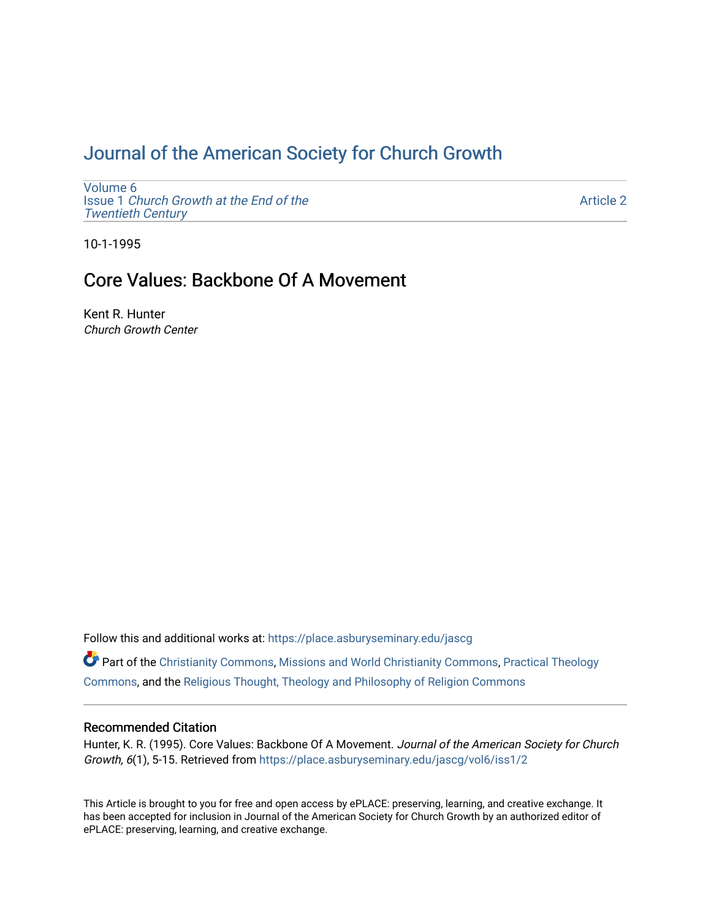# [Journal of the American Society for Church Growth](https://place.asburyseminary.edu/jascg)

[Volume 6](https://place.asburyseminary.edu/jascg/vol6) Issue 1 [Church Growth at the End of the](https://place.asburyseminary.edu/jascg/vol6/iss1) [Twentieth Century](https://place.asburyseminary.edu/jascg/vol6/iss1) 

[Article 2](https://place.asburyseminary.edu/jascg/vol6/iss1/2) 

10-1-1995

# Core Values: Backbone Of A Movement

Kent R. Hunter Church Growth Center

Follow this and additional works at: [https://place.asburyseminary.edu/jascg](https://place.asburyseminary.edu/jascg?utm_source=place.asburyseminary.edu%2Fjascg%2Fvol6%2Fiss1%2F2&utm_medium=PDF&utm_campaign=PDFCoverPages)

Part of the [Christianity Commons,](https://network.bepress.com/hgg/discipline/1181?utm_source=place.asburyseminary.edu%2Fjascg%2Fvol6%2Fiss1%2F2&utm_medium=PDF&utm_campaign=PDFCoverPages) [Missions and World Christianity Commons](https://network.bepress.com/hgg/discipline/1187?utm_source=place.asburyseminary.edu%2Fjascg%2Fvol6%2Fiss1%2F2&utm_medium=PDF&utm_campaign=PDFCoverPages), [Practical Theology](https://network.bepress.com/hgg/discipline/1186?utm_source=place.asburyseminary.edu%2Fjascg%2Fvol6%2Fiss1%2F2&utm_medium=PDF&utm_campaign=PDFCoverPages)  [Commons](https://network.bepress.com/hgg/discipline/1186?utm_source=place.asburyseminary.edu%2Fjascg%2Fvol6%2Fiss1%2F2&utm_medium=PDF&utm_campaign=PDFCoverPages), and the [Religious Thought, Theology and Philosophy of Religion Commons](https://network.bepress.com/hgg/discipline/544?utm_source=place.asburyseminary.edu%2Fjascg%2Fvol6%2Fiss1%2F2&utm_medium=PDF&utm_campaign=PDFCoverPages) 

# Recommended Citation

Hunter, K. R. (1995). Core Values: Backbone Of A Movement. Journal of the American Society for Church Growth, 6(1), 5-15. Retrieved from [https://place.asburyseminary.edu/jascg/vol6/iss1/2](https://place.asburyseminary.edu/jascg/vol6/iss1/2?utm_source=place.asburyseminary.edu%2Fjascg%2Fvol6%2Fiss1%2F2&utm_medium=PDF&utm_campaign=PDFCoverPages) 

This Article is brought to you for free and open access by ePLACE: preserving, learning, and creative exchange. It has been accepted for inclusion in Journal of the American Society for Church Growth by an authorized editor of ePLACE: preserving, learning, and creative exchange.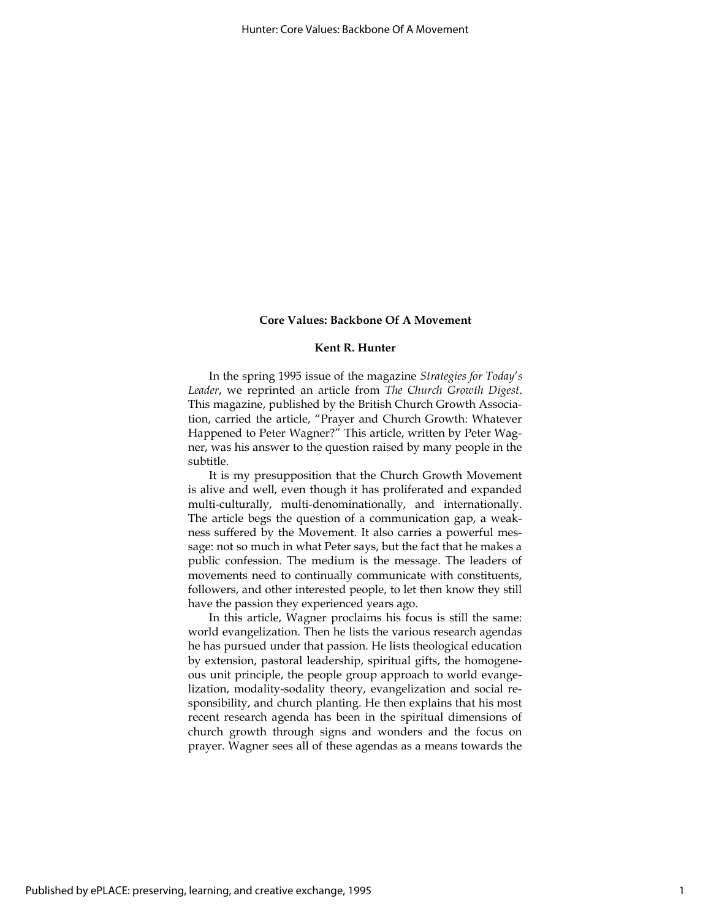## Kent R. Hunter

In the spring 1995 issue of the magazine Strategies for Today's Leader, we reprinted an article from The Church Growth Digest. This magazine, published by the British Church Growth Association, carried the article, "Prayer and Church Growth: Whatever Happened to Peter Wagner?" This article, written by Peter Wagner, was his answer to the question raised by many people in the subtitle.

It is my presupposition that the Church Growth Movement is alive and well, even though it has proliferated and expanded multi-culturally, multi-denominationally, and internationally. The article begs the question of a communication gap, a weakness suffered by the Movement. It also carries a powerful message: not so much in what Peter says, but the fact that he makes a public confession. The medium is the message. The leaders of movements need to continually communicate with constituents, followers, and other interested people, to let then know they still have the passion they experienced years ago.

In this article, Wagner proclaims his focus is still the same: world evangelization. Then he lists the various research agendas he has pursued under that passion. He lists theological education by extension, pastoral leadership, spiritual gifts, the homogeneous unit principle, the people group approach to world evangelization, modality-sodality theory, evangelization and social responsibility, and church planting. He then explains that his most recent research agenda has been in the spiritual dimensions of church growth through signs and wonders and the focus on prayer. Wagner sees all of these agendas as a means towards the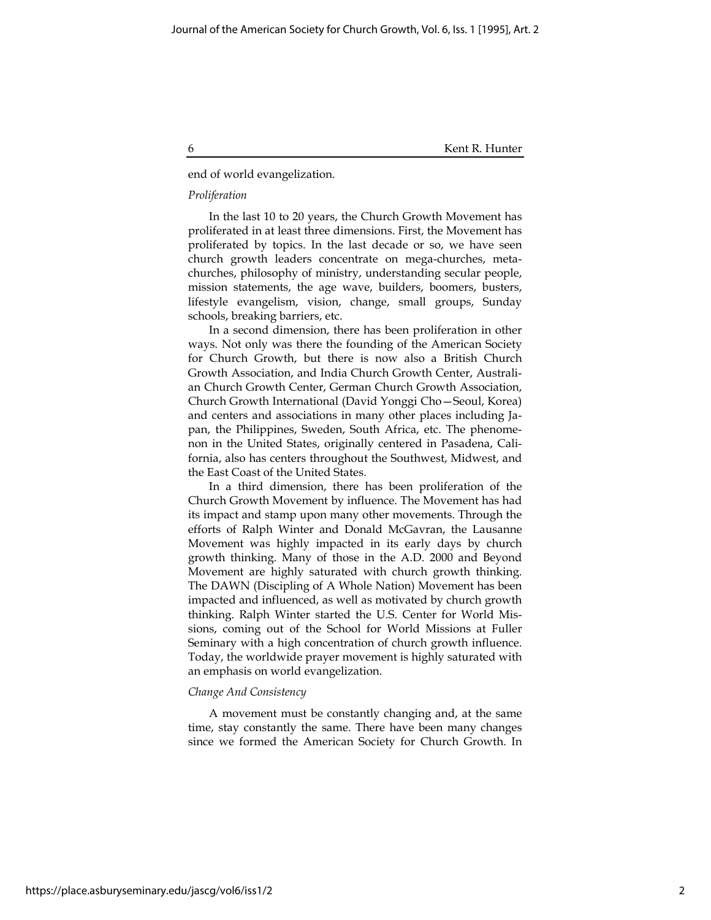6 Kent R. Hunter

end of world evangelization.

### Proliferation

In the last 10 to 20 years, the Church Growth Movement has proliferated in at least three dimensions. First, the Movement has proliferated by topics. In the last decade or so, we have seen church growth leaders concentrate on mega-churches, metachurches, philosophy of ministry, understanding secular people, mission statements, the age wave, builders, boomers, busters, lifestyle evangelism, vision, change, small groups, Sunday schools, breaking barriers, etc.

In a second dimension, there has been proliferation in other ways. Not only was there the founding of the American Society for Church Growth, but there is now also a British Church Growth Association, and India Church Growth Center, Australian Church Growth Center, German Church Growth Association, Church Growth International (David Yonggi Cho—Seoul, Korea) and centers and associations in many other places including Japan, the Philippines, Sweden, South Africa, etc. The phenomenon in the United States, originally centered in Pasadena, California, also has centers throughout the Southwest, Midwest, and the East Coast of the United States.

In a third dimension, there has been proliferation of the Church Growth Movement by influence. The Movement has had its impact and stamp upon many other movements. Through the efforts of Ralph Winter and Donald McGavran, the Lausanne Movement was highly impacted in its early days by church growth thinking. Many of those in the A.D. 2000 and Beyond Movement are highly saturated with church growth thinking. The DAWN (Discipling of A Whole Nation) Movement has been impacted and influenced, as well as motivated by church growth thinking. Ralph Winter started the U.S. Center for World Missions, coming out of the School for World Missions at Fuller Seminary with a high concentration of church growth influence. Today, the worldwide prayer movement is highly saturated with an emphasis on world evangelization.

#### Change And Consistency

A movement must be constantly changing and, at the same time, stay constantly the same. There have been many changes since we formed the American Society for Church Growth. In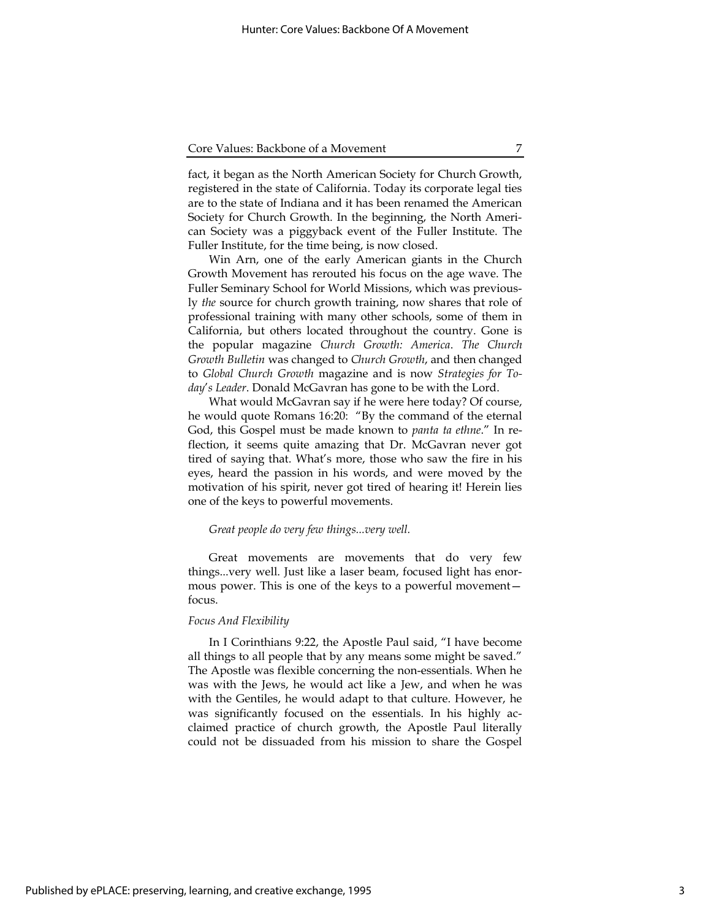fact, it began as the North American Society for Church Growth, registered in the state of California. Today its corporate legal ties are to the state of Indiana and it has been renamed the American Society for Church Growth. In the beginning, the North American Society was a piggyback event of the Fuller Institute. The Fuller Institute, for the time being, is now closed.

Win Arn, one of the early American giants in the Church Growth Movement has rerouted his focus on the age wave. The Fuller Seminary School for World Missions, which was previously the source for church growth training, now shares that role of professional training with many other schools, some of them in California, but others located throughout the country. Gone is the popular magazine Church Growth: America. The Church Growth Bulletin was changed to Church Growth, and then changed to Global Church Growth magazine and is now Strategies for Today's Leader. Donald McGavran has gone to be with the Lord.

What would McGavran say if he were here today? Of course, he would quote Romans 16:20: "By the command of the eternal God, this Gospel must be made known to panta ta ethne." In reflection, it seems quite amazing that Dr. McGavran never got tired of saying that. What's more, those who saw the fire in his eyes, heard the passion in his words, and were moved by the motivation of his spirit, never got tired of hearing it! Herein lies one of the keys to powerful movements.

#### Great people do very few things...very well.

Great movements are movements that do very few things...very well. Just like a laser beam, focused light has enormous power. This is one of the keys to a powerful movement focus.

#### Focus And Flexibility

In I Corinthians 9:22, the Apostle Paul said, "I have become all things to all people that by any means some might be saved." The Apostle was flexible concerning the non-essentials. When he was with the Jews, he would act like a Jew, and when he was with the Gentiles, he would adapt to that culture. However, he was significantly focused on the essentials. In his highly acclaimed practice of church growth, the Apostle Paul literally could not be dissuaded from his mission to share the Gospel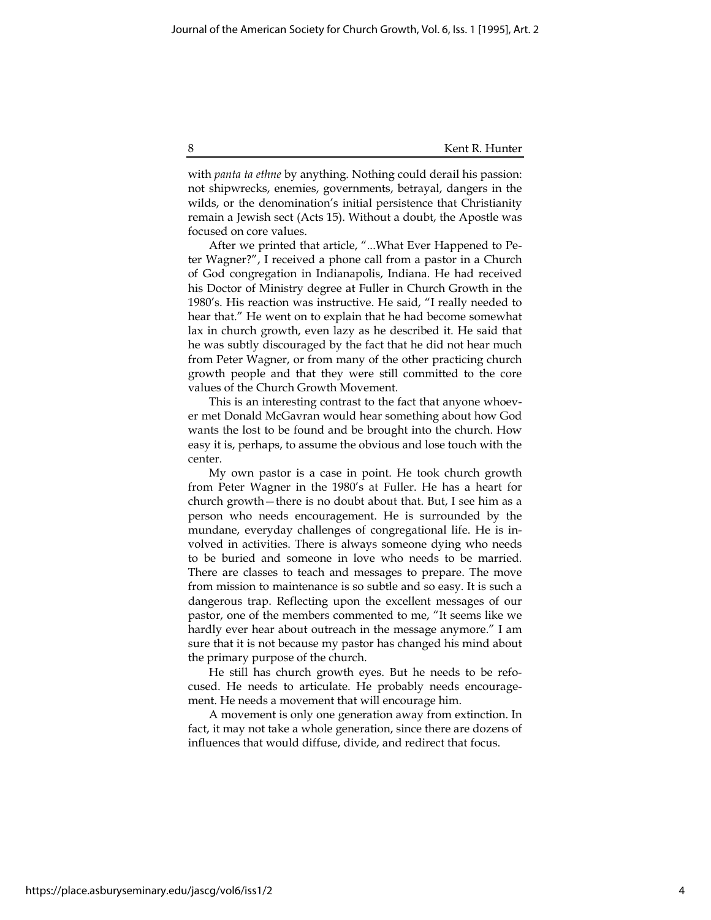with *panta ta ethne* by anything. Nothing could derail his passion: not shipwrecks, enemies, governments, betrayal, dangers in the wilds, or the denomination's initial persistence that Christianity remain a Jewish sect (Acts 15). Without a doubt, the Apostle was focused on core values.

After we printed that article, "...What Ever Happened to Peter Wagner?", I received a phone call from a pastor in a Church of God congregation in Indianapolis, Indiana. He had received his Doctor of Ministry degree at Fuller in Church Growth in the 1980's. His reaction was instructive. He said, "I really needed to hear that." He went on to explain that he had become somewhat lax in church growth, even lazy as he described it. He said that he was subtly discouraged by the fact that he did not hear much from Peter Wagner, or from many of the other practicing church growth people and that they were still committed to the core values of the Church Growth Movement.

This is an interesting contrast to the fact that anyone whoever met Donald McGavran would hear something about how God wants the lost to be found and be brought into the church. How easy it is, perhaps, to assume the obvious and lose touch with the center.

My own pastor is a case in point. He took church growth from Peter Wagner in the 1980's at Fuller. He has a heart for church growth—there is no doubt about that. But, I see him as a person who needs encouragement. He is surrounded by the mundane, everyday challenges of congregational life. He is involved in activities. There is always someone dying who needs to be buried and someone in love who needs to be married. There are classes to teach and messages to prepare. The move from mission to maintenance is so subtle and so easy. It is such a dangerous trap. Reflecting upon the excellent messages of our pastor, one of the members commented to me, "It seems like we hardly ever hear about outreach in the message anymore." I am sure that it is not because my pastor has changed his mind about the primary purpose of the church.

He still has church growth eyes. But he needs to be refocused. He needs to articulate. He probably needs encouragement. He needs a movement that will encourage him.

A movement is only one generation away from extinction. In fact, it may not take a whole generation, since there are dozens of influences that would diffuse, divide, and redirect that focus.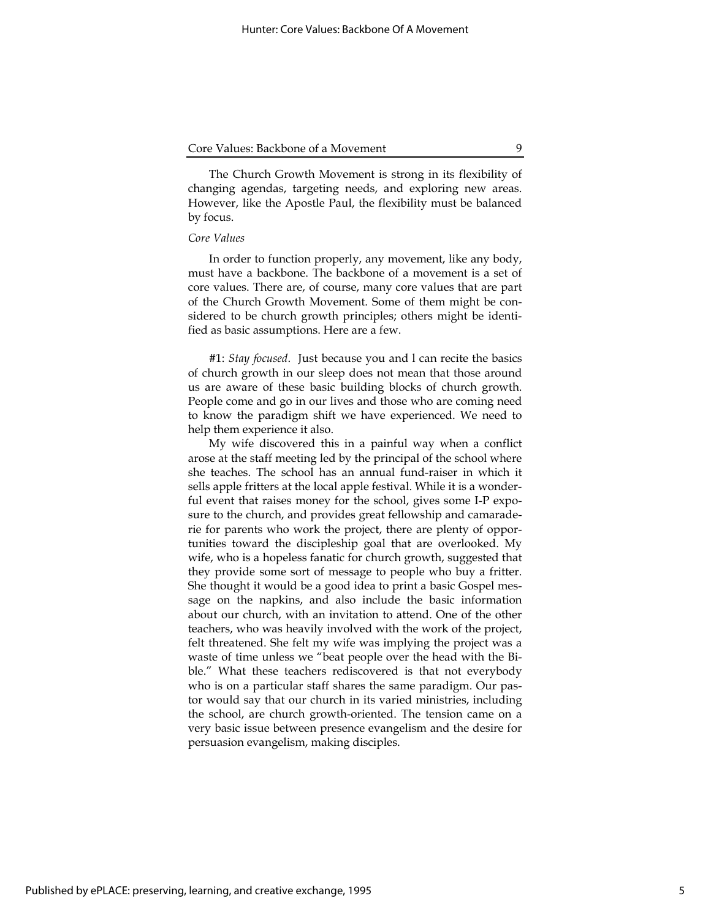The Church Growth Movement is strong in its flexibility of changing agendas, targeting needs, and exploring new areas. However, like the Apostle Paul, the flexibility must be balanced by focus.

#### Core Values

In order to function properly, any movement, like any body, must have a backbone. The backbone of a movement is a set of core values. There are, of course, many core values that are part of the Church Growth Movement. Some of them might be considered to be church growth principles; others might be identified as basic assumptions. Here are a few.

#1: Stay focused. Just because you and l can recite the basics of church growth in our sleep does not mean that those around us are aware of these basic building blocks of church growth. People come and go in our lives and those who are coming need to know the paradigm shift we have experienced. We need to help them experience it also.

My wife discovered this in a painful way when a conflict arose at the staff meeting led by the principal of the school where she teaches. The school has an annual fund-raiser in which it sells apple fritters at the local apple festival. While it is a wonderful event that raises money for the school, gives some I-P exposure to the church, and provides great fellowship and camaraderie for parents who work the project, there are plenty of opportunities toward the discipleship goal that are overlooked. My wife, who is a hopeless fanatic for church growth, suggested that they provide some sort of message to people who buy a fritter. She thought it would be a good idea to print a basic Gospel message on the napkins, and also include the basic information about our church, with an invitation to attend. One of the other teachers, who was heavily involved with the work of the project, felt threatened. She felt my wife was implying the project was a waste of time unless we "beat people over the head with the Bible." What these teachers rediscovered is that not everybody who is on a particular staff shares the same paradigm. Our pastor would say that our church in its varied ministries, including the school, are church growth-oriented. The tension came on a very basic issue between presence evangelism and the desire for persuasion evangelism, making disciples.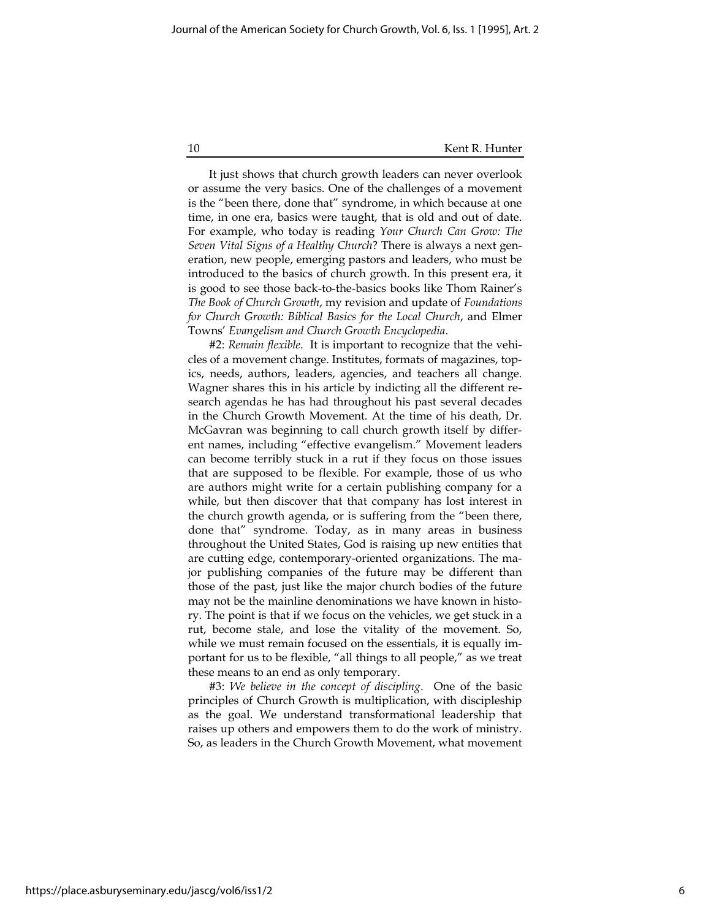10 Kent R. Hunter

It just shows that church growth leaders can never overlook or assume the very basics. One of the challenges of a movement is the "been there, done that" syndrome, in which because at one time, in one era, basics were taught, that is old and out of date. For example, who today is reading Your Church Can Grow: The Seven Vital Signs of a Healthy Church? There is always a next generation, new people, emerging pastors and leaders, who must be introduced to the basics of church growth. In this present era, it is good to see those back-to-the-basics books like Thom Rainer's The Book of Church Growth, my revision and update of Foundations for Church Growth: Biblical Basics for the Local Church, and Elmer Towns' Evangelism and Church Growth Encyclopedia.

#2: Remain flexible. It is important to recognize that the vehicles of a movement change. Institutes, formats of magazines, topics, needs, authors, leaders, agencies, and teachers all change. Wagner shares this in his article by indicting all the different research agendas he has had throughout his past several decades in the Church Growth Movement. At the time of his death, Dr. McGavran was beginning to call church growth itself by different names, including "effective evangelism." Movement leaders can become terribly stuck in a rut if they focus on those issues that are supposed to be flexible. For example, those of us who are authors might write for a certain publishing company for a while, but then discover that that company has lost interest in the church growth agenda, or is suffering from the "been there, done that" syndrome. Today, as in many areas in business throughout the United States, God is raising up new entities that are cutting edge, contemporary-oriented organizations. The major publishing companies of the future may be different than those of the past, just like the major church bodies of the future may not be the mainline denominations we have known in history. The point is that if we focus on the vehicles, we get stuck in a rut, become stale, and lose the vitality of the movement. So, while we must remain focused on the essentials, it is equally important for us to be flexible, "all things to all people," as we treat these means to an end as only temporary.

#3: We believe in the concept of discipling. One of the basic principles of Church Growth is multiplication, with discipleship as the goal. We understand transformational leadership that raises up others and empowers them to do the work of ministry. So, as leaders in the Church Growth Movement, what movement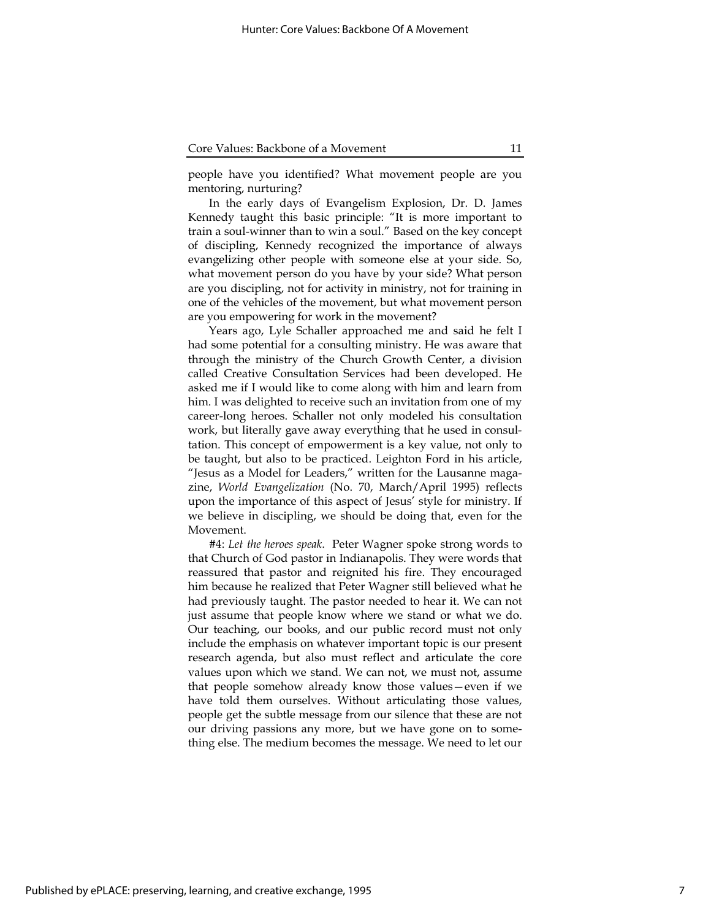people have you identified? What movement people are you mentoring, nurturing?

In the early days of Evangelism Explosion, Dr. D. James Kennedy taught this basic principle: "It is more important to train a soul-winner than to win a soul." Based on the key concept of discipling, Kennedy recognized the importance of always evangelizing other people with someone else at your side. So, what movement person do you have by your side? What person are you discipling, not for activity in ministry, not for training in one of the vehicles of the movement, but what movement person are you empowering for work in the movement?

Years ago, Lyle Schaller approached me and said he felt I had some potential for a consulting ministry. He was aware that through the ministry of the Church Growth Center, a division called Creative Consultation Services had been developed. He asked me if I would like to come along with him and learn from him. I was delighted to receive such an invitation from one of my career-long heroes. Schaller not only modeled his consultation work, but literally gave away everything that he used in consultation. This concept of empowerment is a key value, not only to be taught, but also to be practiced. Leighton Ford in his article, "Jesus as a Model for Leaders," written for the Lausanne magazine, World Evangelization (No. 70, March/April 1995) reflects upon the importance of this aspect of Jesus' style for ministry. If we believe in discipling, we should be doing that, even for the Movement.

#4: Let the heroes speak. Peter Wagner spoke strong words to that Church of God pastor in Indianapolis. They were words that reassured that pastor and reignited his fire. They encouraged him because he realized that Peter Wagner still believed what he had previously taught. The pastor needed to hear it. We can not just assume that people know where we stand or what we do. Our teaching, our books, and our public record must not only include the emphasis on whatever important topic is our present research agenda, but also must reflect and articulate the core values upon which we stand. We can not, we must not, assume that people somehow already know those values—even if we have told them ourselves. Without articulating those values, people get the subtle message from our silence that these are not our driving passions any more, but we have gone on to something else. The medium becomes the message. We need to let our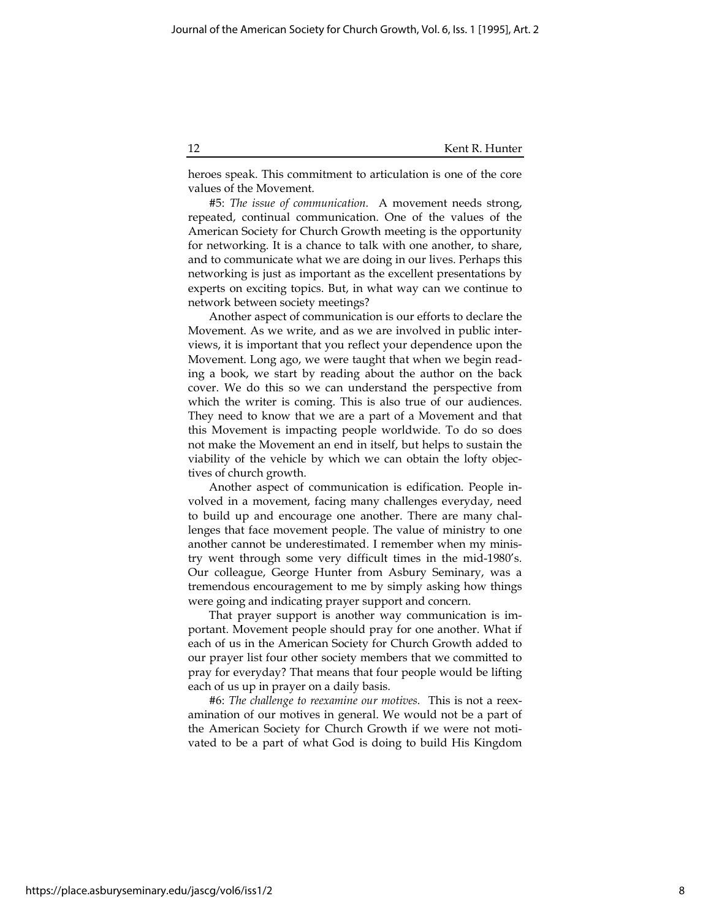heroes speak. This commitment to articulation is one of the core values of the Movement.

#5: The issue of communication. A movement needs strong, repeated, continual communication. One of the values of the American Society for Church Growth meeting is the opportunity for networking. It is a chance to talk with one another, to share, and to communicate what we are doing in our lives. Perhaps this networking is just as important as the excellent presentations by experts on exciting topics. But, in what way can we continue to network between society meetings?

Another aspect of communication is our efforts to declare the Movement. As we write, and as we are involved in public interviews, it is important that you reflect your dependence upon the Movement. Long ago, we were taught that when we begin reading a book, we start by reading about the author on the back cover. We do this so we can understand the perspective from which the writer is coming. This is also true of our audiences. They need to know that we are a part of a Movement and that this Movement is impacting people worldwide. To do so does not make the Movement an end in itself, but helps to sustain the viability of the vehicle by which we can obtain the lofty objectives of church growth.

Another aspect of communication is edification. People involved in a movement, facing many challenges everyday, need to build up and encourage one another. There are many challenges that face movement people. The value of ministry to one another cannot be underestimated. I remember when my ministry went through some very difficult times in the mid-1980's. Our colleague, George Hunter from Asbury Seminary, was a tremendous encouragement to me by simply asking how things were going and indicating prayer support and concern.

That prayer support is another way communication is important. Movement people should pray for one another. What if each of us in the American Society for Church Growth added to our prayer list four other society members that we committed to pray for everyday? That means that four people would be lifting each of us up in prayer on a daily basis.

#6: The challenge to reexamine our motives. This is not a reexamination of our motives in general. We would not be a part of the American Society for Church Growth if we were not motivated to be a part of what God is doing to build His Kingdom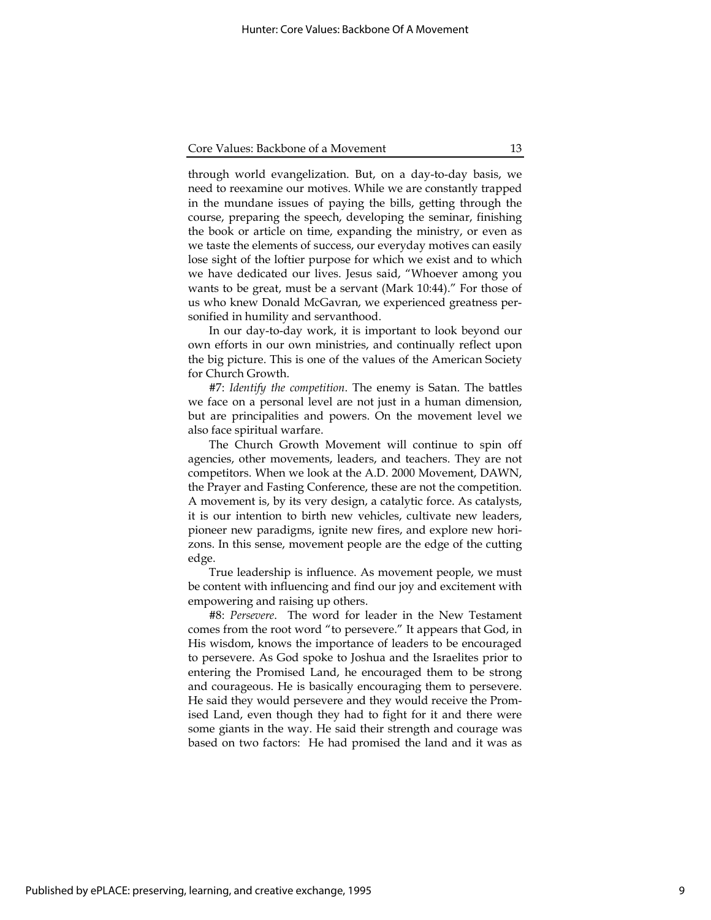through world evangelization. But, on a day-to-day basis, we need to reexamine our motives. While we are constantly trapped in the mundane issues of paying the bills, getting through the course, preparing the speech, developing the seminar, finishing the book or article on time, expanding the ministry, or even as we taste the elements of success, our everyday motives can easily lose sight of the loftier purpose for which we exist and to which we have dedicated our lives. Jesus said, "Whoever among you wants to be great, must be a servant (Mark 10:44)." For those of us who knew Donald McGavran, we experienced greatness personified in humility and servanthood.

In our day-to-day work, it is important to look beyond our own efforts in our own ministries, and continually reflect upon the big picture. This is one of the values of the American Society for Church Growth.

#7: Identify the competition. The enemy is Satan. The battles we face on a personal level are not just in a human dimension, but are principalities and powers. On the movement level we also face spiritual warfare.

The Church Growth Movement will continue to spin off agencies, other movements, leaders, and teachers. They are not competitors. When we look at the A.D. 2000 Movement, DAWN, the Prayer and Fasting Conference, these are not the competition. A movement is, by its very design, a catalytic force. As catalysts, it is our intention to birth new vehicles, cultivate new leaders, pioneer new paradigms, ignite new fires, and explore new horizons. In this sense, movement people are the edge of the cutting edge.

True leadership is influence. As movement people, we must be content with influencing and find our joy and excitement with empowering and raising up others.

#8: Persevere. The word for leader in the New Testament comes from the root word "to persevere." It appears that God, in His wisdom, knows the importance of leaders to be encouraged to persevere. As God spoke to Joshua and the Israelites prior to entering the Promised Land, he encouraged them to be strong and courageous. He is basically encouraging them to persevere. He said they would persevere and they would receive the Promised Land, even though they had to fight for it and there were some giants in the way. He said their strength and courage was based on two factors: He had promised the land and it was as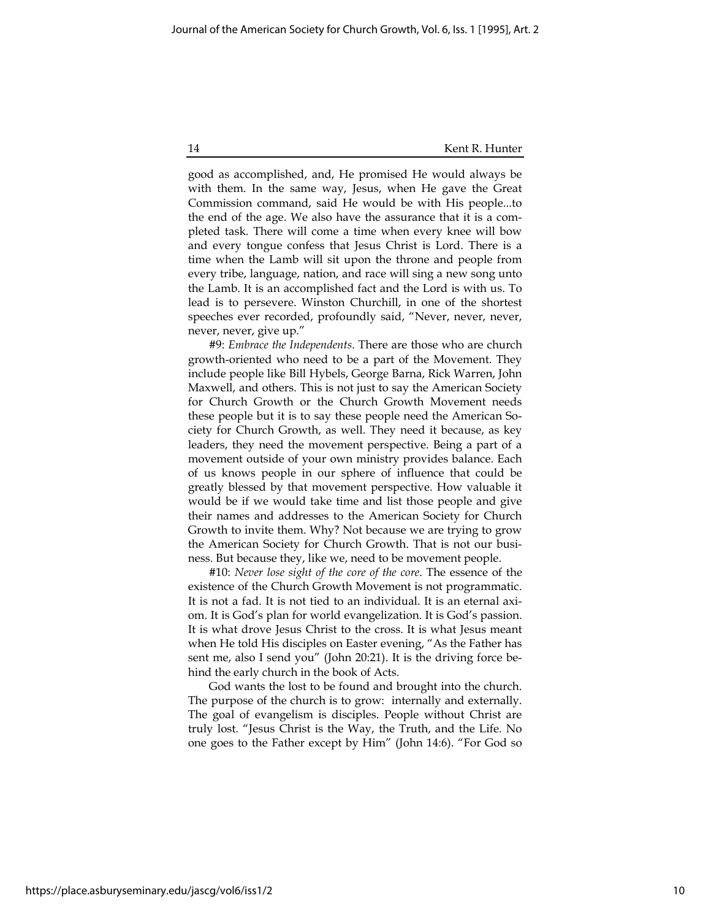14 Kent R. Hunter

good as accomplished, and, He promised He would always be with them. In the same way, Jesus, when He gave the Great Commission command, said He would be with His people...to the end of the age. We also have the assurance that it is a completed task. There will come a time when every knee will bow and every tongue confess that Jesus Christ is Lord. There is a time when the Lamb will sit upon the throne and people from every tribe, language, nation, and race will sing a new song unto the Lamb. It is an accomplished fact and the Lord is with us. To lead is to persevere. Winston Churchill, in one of the shortest speeches ever recorded, profoundly said, "Never, never, never, never, never, give up."

#9: Embrace the Independents. There are those who are church growth-oriented who need to be a part of the Movement. They include people like Bill Hybels, George Barna, Rick Warren, John Maxwell, and others. This is not just to say the American Society for Church Growth or the Church Growth Movement needs these people but it is to say these people need the American Society for Church Growth, as well. They need it because, as key leaders, they need the movement perspective. Being a part of a movement outside of your own ministry provides balance. Each of us knows people in our sphere of influence that could be greatly blessed by that movement perspective. How valuable it would be if we would take time and list those people and give their names and addresses to the American Society for Church Growth to invite them. Why? Not because we are trying to grow the American Society for Church Growth. That is not our business. But because they, like we, need to be movement people.

#10: Never lose sight of the core of the core. The essence of the existence of the Church Growth Movement is not programmatic. It is not a fad. It is not tied to an individual. It is an eternal axiom. It is God's plan for world evangelization. It is God's passion. It is what drove Jesus Christ to the cross. It is what Jesus meant when He told His disciples on Easter evening, "As the Father has sent me, also I send you" (John 20:21). It is the driving force behind the early church in the book of Acts.

God wants the lost to be found and brought into the church. The purpose of the church is to grow: internally and externally. The goal of evangelism is disciples. People without Christ are truly lost. "Jesus Christ is the Way, the Truth, and the Life. No one goes to the Father except by Him" (John 14:6). "For God so